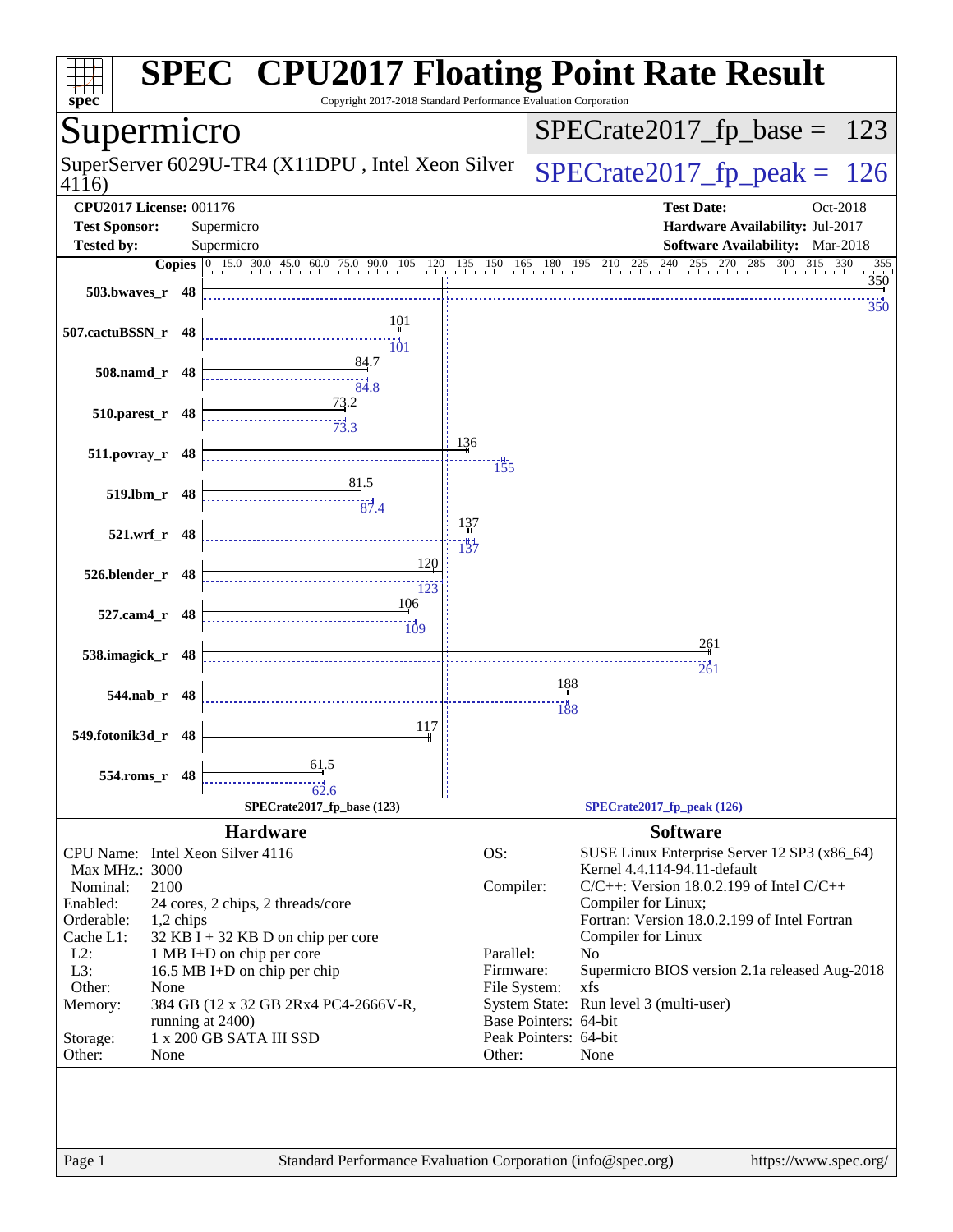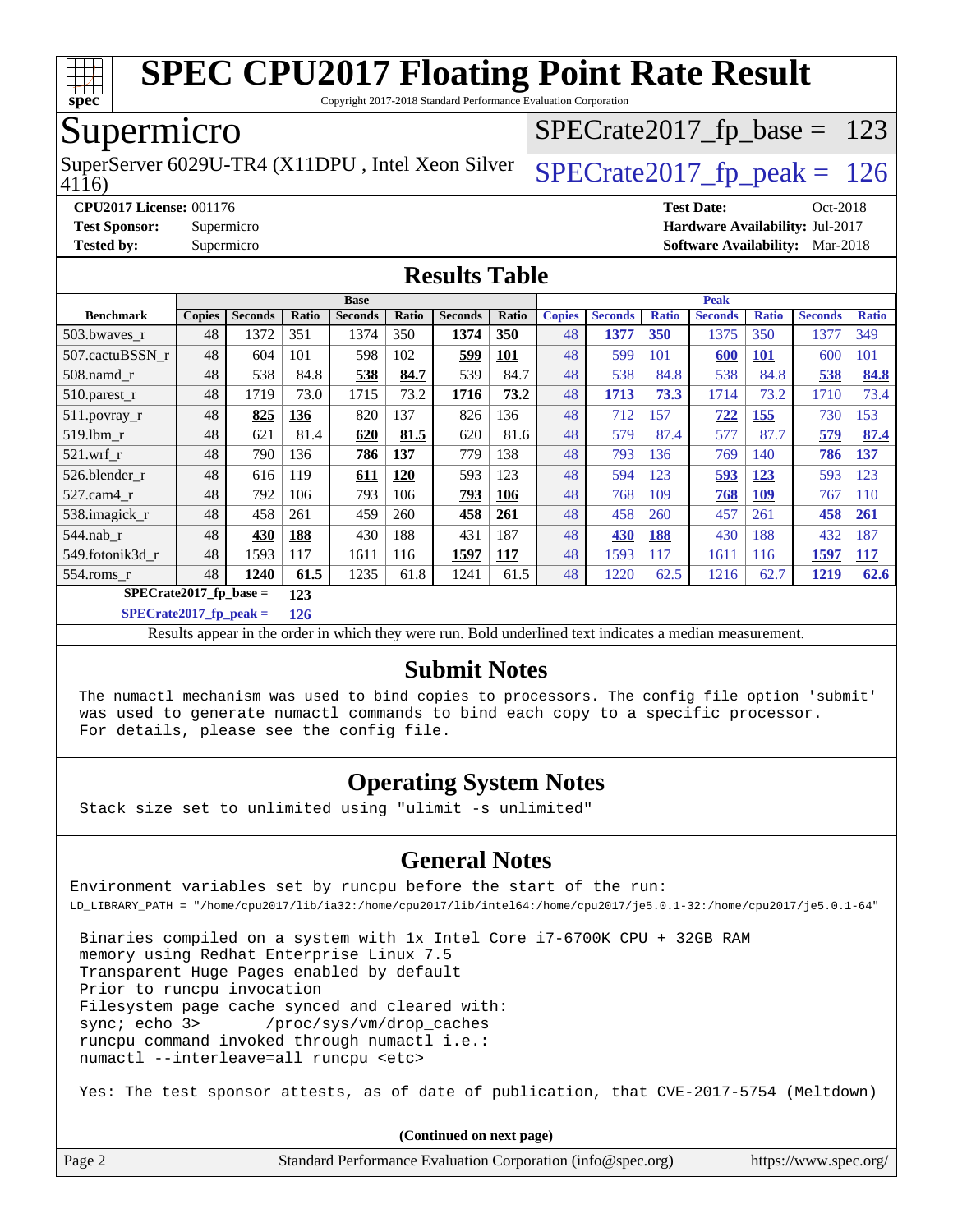

Copyright 2017-2018 Standard Performance Evaluation Corporation

### Supermicro

SuperServer 6029U-TR4 (X11DPU, Intel Xeon Silver  $\big|$  [SPECrate2017\\_fp\\_peak =](http://www.spec.org/auto/cpu2017/Docs/result-fields.html#SPECrate2017fppeak) 126

[SPECrate2017\\_fp\\_base =](http://www.spec.org/auto/cpu2017/Docs/result-fields.html#SPECrate2017fpbase) 123

4116)

**[CPU2017 License:](http://www.spec.org/auto/cpu2017/Docs/result-fields.html#CPU2017License)** 001176 **[Test Date:](http://www.spec.org/auto/cpu2017/Docs/result-fields.html#TestDate)** Oct-2018 **[Test Sponsor:](http://www.spec.org/auto/cpu2017/Docs/result-fields.html#TestSponsor)** Supermicro **[Hardware Availability:](http://www.spec.org/auto/cpu2017/Docs/result-fields.html#HardwareAvailability)** Jul-2017 **[Tested by:](http://www.spec.org/auto/cpu2017/Docs/result-fields.html#Testedby)** Supermicro **[Software Availability:](http://www.spec.org/auto/cpu2017/Docs/result-fields.html#SoftwareAvailability)** Mar-2018

#### **[Results Table](http://www.spec.org/auto/cpu2017/Docs/result-fields.html#ResultsTable)**

|                                  | <b>Base</b>   |                |       |                | <b>Peak</b> |                |            |               |                |              |                |              |                |              |
|----------------------------------|---------------|----------------|-------|----------------|-------------|----------------|------------|---------------|----------------|--------------|----------------|--------------|----------------|--------------|
| <b>Benchmark</b>                 | <b>Copies</b> | <b>Seconds</b> | Ratio | <b>Seconds</b> | Ratio       | <b>Seconds</b> | Ratio      | <b>Copies</b> | <b>Seconds</b> | <b>Ratio</b> | <b>Seconds</b> | <b>Ratio</b> | <b>Seconds</b> | <b>Ratio</b> |
| 503.bwayes r                     | 48            | 1372           | 351   | 1374           | 350         | 1374           | 350        | 48            | 1377           | <b>350</b>   | 1375           | 350          | 1377           | 349          |
| 507.cactuBSSN r                  | 48            | 604            | 101   | 598            | 102         | 599            | 101        | 48            | 599            | 101          | 600            | <b>101</b>   | 600            | 101          |
| $508$ .namd $r$                  | 48            | 538            | 84.8  | 538            | 84.7        | 539            | 84.7       | 48            | 538            | 84.8         | 538            | 84.8         | 538            | 84.8         |
| 510.parest_r                     | 48            | 1719           | 73.0  | 1715           | 73.2        | 1716           | 73.2       | 48            | 1713           | 73.3         | 1714           | 73.2         | 1710           | 73.4         |
| 511.povray_r                     | 48            | 825            | 136   | 820            | 137         | 826            | 136        | 48            | 712            | 157          | 722            | <b>155</b>   | 730            | 153          |
| $519$ .lbm $r$                   | 48            | 621            | 81.4  | 620            | 81.5        | 620            | 81.6       | 48            | 579            | 87.4         | 577            | 87.7         | 579            | 87.4         |
| $521$ .wrf r                     | 48            | 790            | 136   | 786            | 137         | 779            | 138        | 48            | 793            | 136          | 769            | 140          | 786            | <u>137</u>   |
| 526.blender r                    | 48            | 616            | 119   | 611            | 120         | 593            | 123        | 48            | 594            | 123          | 593            | 123          | 593            | 123          |
| 527.cam4 r                       | 48            | 792            | 106   | 793            | 106         | 793            | 106        | 48            | 768            | 109          | 768            | <b>109</b>   | 767            | 110          |
| 538.imagick_r                    | 48            | 458            | 261   | 459            | 260         | 458            | <b>261</b> | 48            | 458            | 260          | 457            | 261          | 458            | 261          |
| $544$ .nab r                     | 48            | 430            | 188   | 430            | 188         | 431            | 187        | 48            | 430            | 188          | 430            | 188          | 432            | 187          |
| 549.fotonik3d r                  | 48            | 1593           | 117   | 1611           | 116         | 1597           | 117        | 48            | 1593           | 117          | 1611           | 116          | 1597           | <u>117</u>   |
| $554$ .roms r                    | 48            | 1240           | 61.5  | 1235           | 61.8        | 1241           | 61.5       | 48            | 1220           | 62.5         | 1216           | 62.7         | 1219           | 62.6         |
| $SPECrate2017_fp\_base =$<br>123 |               |                |       |                |             |                |            |               |                |              |                |              |                |              |

**[SPECrate2017\\_fp\\_peak =](http://www.spec.org/auto/cpu2017/Docs/result-fields.html#SPECrate2017fppeak) 126**

Results appear in the [order in which they were run.](http://www.spec.org/auto/cpu2017/Docs/result-fields.html#RunOrder) Bold underlined text [indicates a median measurement.](http://www.spec.org/auto/cpu2017/Docs/result-fields.html#Median)

#### **[Submit Notes](http://www.spec.org/auto/cpu2017/Docs/result-fields.html#SubmitNotes)**

 The numactl mechanism was used to bind copies to processors. The config file option 'submit' was used to generate numactl commands to bind each copy to a specific processor. For details, please see the config file.

### **[Operating System Notes](http://www.spec.org/auto/cpu2017/Docs/result-fields.html#OperatingSystemNotes)**

Stack size set to unlimited using "ulimit -s unlimited"

### **[General Notes](http://www.spec.org/auto/cpu2017/Docs/result-fields.html#GeneralNotes)**

Environment variables set by runcpu before the start of the run: LD\_LIBRARY\_PATH = "/home/cpu2017/lib/ia32:/home/cpu2017/lib/intel64:/home/cpu2017/je5.0.1-32:/home/cpu2017/je5.0.1-64"

 Binaries compiled on a system with 1x Intel Core i7-6700K CPU + 32GB RAM memory using Redhat Enterprise Linux 7.5 Transparent Huge Pages enabled by default Prior to runcpu invocation Filesystem page cache synced and cleared with: sync; echo 3> /proc/sys/vm/drop\_caches runcpu command invoked through numactl i.e.: numactl --interleave=all runcpu <etc>

Yes: The test sponsor attests, as of date of publication, that CVE-2017-5754 (Meltdown)

| Page 2 | Standard Performance Evaluation Corporation (info@spec.org) | https://www.spec.org/ |
|--------|-------------------------------------------------------------|-----------------------|
|--------|-------------------------------------------------------------|-----------------------|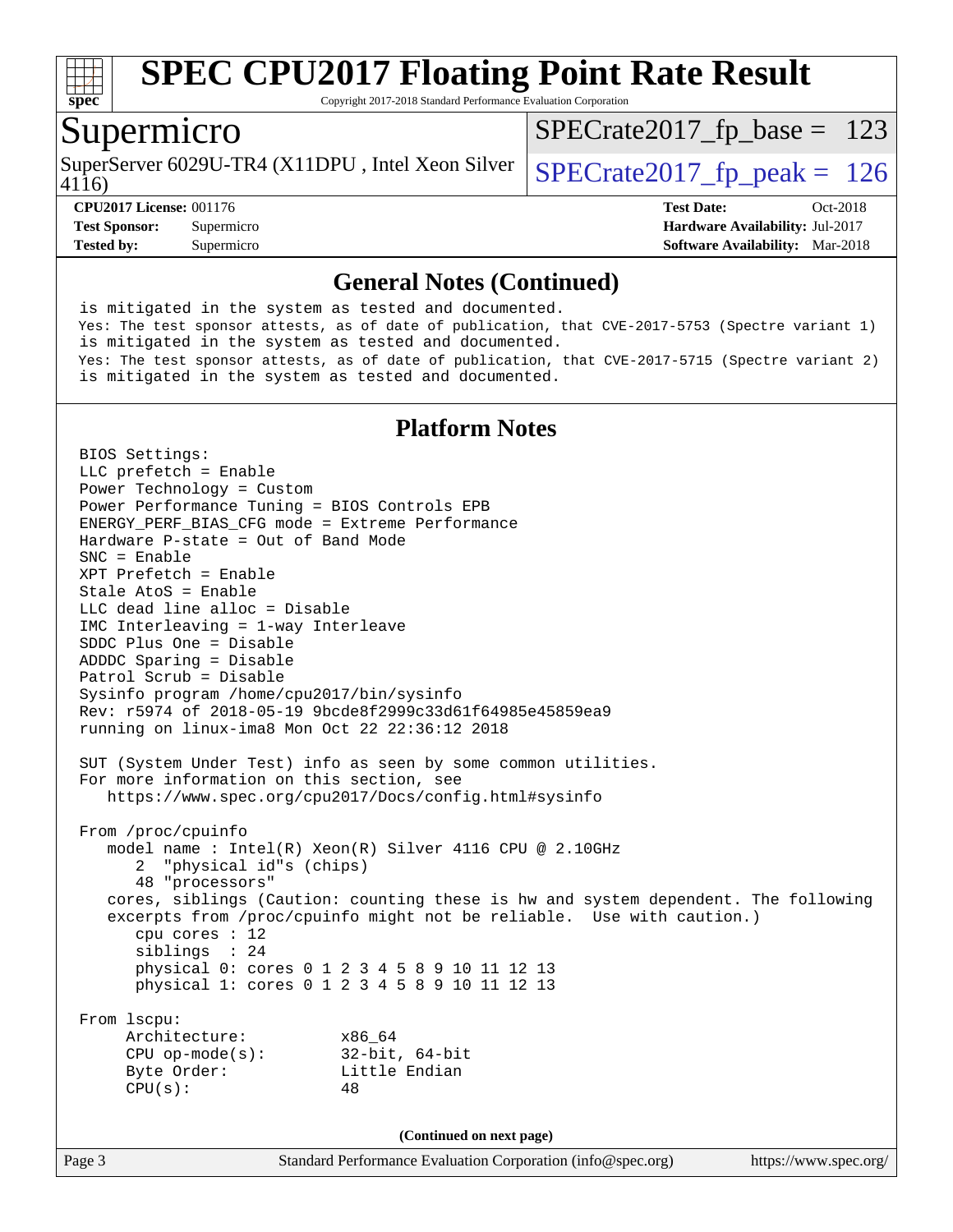

Copyright 2017-2018 Standard Performance Evaluation Corporation

### Supermicro

4116) SuperServer 6029U-TR4 (X11DPU, Intel Xeon Silver  $\big|$  [SPECrate2017\\_fp\\_peak =](http://www.spec.org/auto/cpu2017/Docs/result-fields.html#SPECrate2017fppeak) 126

 $SPECTate2017_fp\_base = 123$ 

**[CPU2017 License:](http://www.spec.org/auto/cpu2017/Docs/result-fields.html#CPU2017License)** 001176 **[Test Date:](http://www.spec.org/auto/cpu2017/Docs/result-fields.html#TestDate)** Oct-2018 **[Test Sponsor:](http://www.spec.org/auto/cpu2017/Docs/result-fields.html#TestSponsor)** Supermicro **[Hardware Availability:](http://www.spec.org/auto/cpu2017/Docs/result-fields.html#HardwareAvailability)** Jul-2017 **[Tested by:](http://www.spec.org/auto/cpu2017/Docs/result-fields.html#Testedby)** Supermicro **[Software Availability:](http://www.spec.org/auto/cpu2017/Docs/result-fields.html#SoftwareAvailability)** Mar-2018

#### **[General Notes \(Continued\)](http://www.spec.org/auto/cpu2017/Docs/result-fields.html#GeneralNotes)**

 is mitigated in the system as tested and documented. Yes: The test sponsor attests, as of date of publication, that CVE-2017-5753 (Spectre variant 1) is mitigated in the system as tested and documented. Yes: The test sponsor attests, as of date of publication, that CVE-2017-5715 (Spectre variant 2) is mitigated in the system as tested and documented.

### **[Platform Notes](http://www.spec.org/auto/cpu2017/Docs/result-fields.html#PlatformNotes)**

Page 3 Standard Performance Evaluation Corporation [\(info@spec.org\)](mailto:info@spec.org) <https://www.spec.org/> BIOS Settings: LLC prefetch = Enable Power Technology = Custom Power Performance Tuning = BIOS Controls EPB ENERGY\_PERF\_BIAS\_CFG mode = Extreme Performance Hardware P-state = Out of Band Mode SNC = Enable XPT Prefetch = Enable Stale AtoS = Enable LLC dead line alloc = Disable IMC Interleaving = 1-way Interleave SDDC Plus One = Disable ADDDC Sparing = Disable Patrol Scrub = Disable Sysinfo program /home/cpu2017/bin/sysinfo Rev: r5974 of 2018-05-19 9bcde8f2999c33d61f64985e45859ea9 running on linux-ima8 Mon Oct 22 22:36:12 2018 SUT (System Under Test) info as seen by some common utilities. For more information on this section, see <https://www.spec.org/cpu2017/Docs/config.html#sysinfo> From /proc/cpuinfo model name : Intel(R) Xeon(R) Silver 4116 CPU @ 2.10GHz 2 "physical id"s (chips) 48 "processors" cores, siblings (Caution: counting these is hw and system dependent. The following excerpts from /proc/cpuinfo might not be reliable. Use with caution.) cpu cores : 12 siblings : 24 physical 0: cores 0 1 2 3 4 5 8 9 10 11 12 13 physical 1: cores 0 1 2 3 4 5 8 9 10 11 12 13 From lscpu: Architecture: x86\_64 CPU op-mode(s): 32-bit, 64-bit Byte Order: Little Endian  $CPU(s):$  48 **(Continued on next page)**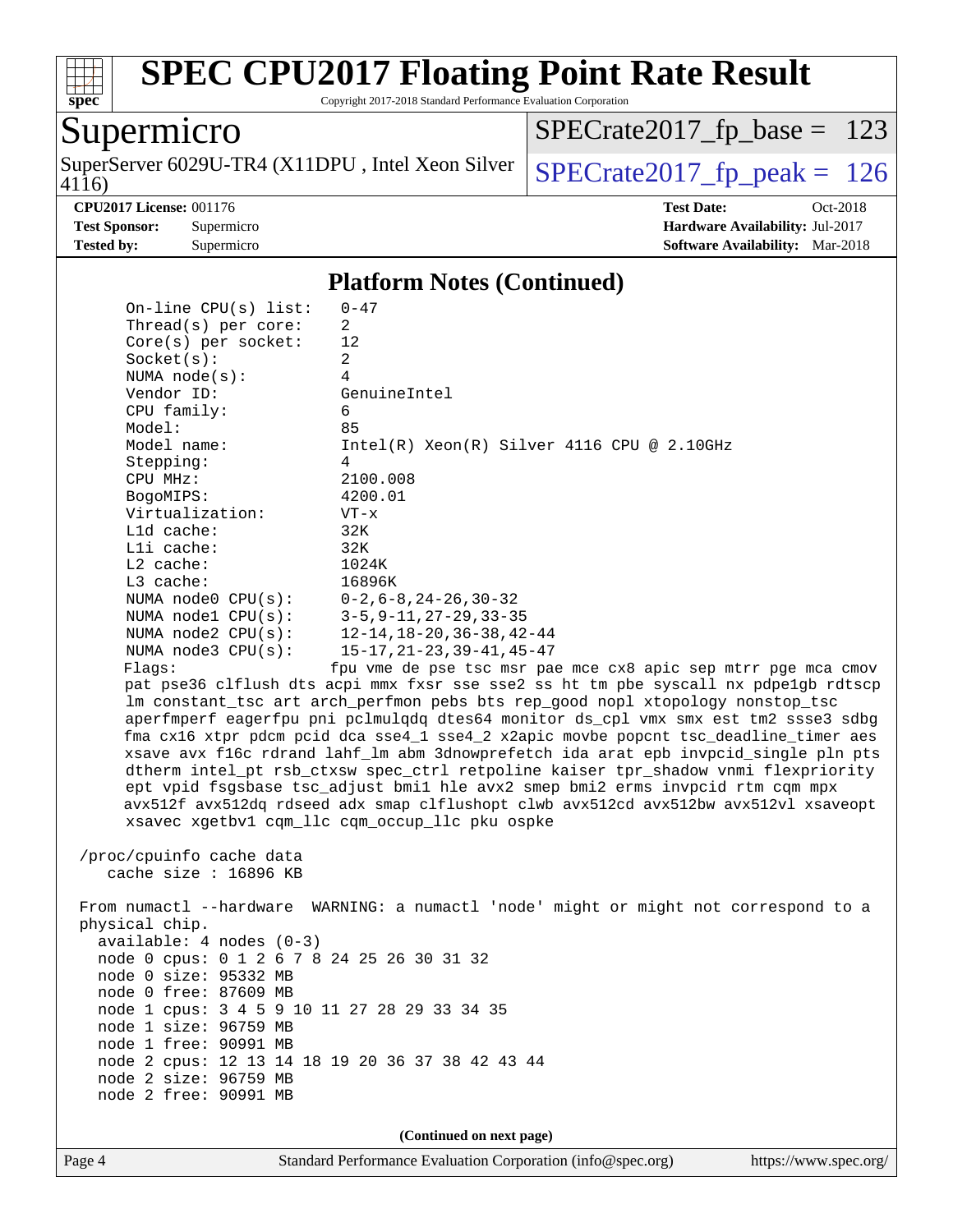

Copyright 2017-2018 Standard Performance Evaluation Corporation

## Supermicro

4116) SuperServer 6029U-TR4 (X11DPU, Intel Xeon Silver  $\big|$  [SPECrate2017\\_fp\\_peak =](http://www.spec.org/auto/cpu2017/Docs/result-fields.html#SPECrate2017fppeak) 126

[SPECrate2017\\_fp\\_base =](http://www.spec.org/auto/cpu2017/Docs/result-fields.html#SPECrate2017fpbase) 123

**[CPU2017 License:](http://www.spec.org/auto/cpu2017/Docs/result-fields.html#CPU2017License)** 001176 **[Test Date:](http://www.spec.org/auto/cpu2017/Docs/result-fields.html#TestDate)** Oct-2018 **[Test Sponsor:](http://www.spec.org/auto/cpu2017/Docs/result-fields.html#TestSponsor)** Supermicro **[Hardware Availability:](http://www.spec.org/auto/cpu2017/Docs/result-fields.html#HardwareAvailability)** Jul-2017 **[Tested by:](http://www.spec.org/auto/cpu2017/Docs/result-fields.html#Testedby)** Supermicro **[Software Availability:](http://www.spec.org/auto/cpu2017/Docs/result-fields.html#SoftwareAvailability)** Mar-2018

#### **[Platform Notes \(Continued\)](http://www.spec.org/auto/cpu2017/Docs/result-fields.html#PlatformNotes)**

| On-line $CPU(s)$ list:                                                                     | $0 - 47$                                                                                                                                                                                                                                                                                                                                                                                                                                                                                                                                                                                                                                                                                                                                                  |
|--------------------------------------------------------------------------------------------|-----------------------------------------------------------------------------------------------------------------------------------------------------------------------------------------------------------------------------------------------------------------------------------------------------------------------------------------------------------------------------------------------------------------------------------------------------------------------------------------------------------------------------------------------------------------------------------------------------------------------------------------------------------------------------------------------------------------------------------------------------------|
| Thread(s) per core:                                                                        | 2                                                                                                                                                                                                                                                                                                                                                                                                                                                                                                                                                                                                                                                                                                                                                         |
| $Core(s)$ per socket:                                                                      | 12                                                                                                                                                                                                                                                                                                                                                                                                                                                                                                                                                                                                                                                                                                                                                        |
| Socket(s):                                                                                 | $\overline{a}$                                                                                                                                                                                                                                                                                                                                                                                                                                                                                                                                                                                                                                                                                                                                            |
| NUMA $node(s):$                                                                            | 4                                                                                                                                                                                                                                                                                                                                                                                                                                                                                                                                                                                                                                                                                                                                                         |
| Vendor ID:                                                                                 | GenuineIntel                                                                                                                                                                                                                                                                                                                                                                                                                                                                                                                                                                                                                                                                                                                                              |
| CPU family:                                                                                | 6                                                                                                                                                                                                                                                                                                                                                                                                                                                                                                                                                                                                                                                                                                                                                         |
| Model:                                                                                     | 85                                                                                                                                                                                                                                                                                                                                                                                                                                                                                                                                                                                                                                                                                                                                                        |
| Model name:                                                                                | $Intel(R) Xeon(R) Silver 4116 CPU @ 2.10GHz$                                                                                                                                                                                                                                                                                                                                                                                                                                                                                                                                                                                                                                                                                                              |
| Stepping:                                                                                  | 4                                                                                                                                                                                                                                                                                                                                                                                                                                                                                                                                                                                                                                                                                                                                                         |
| CPU MHz:                                                                                   | 2100.008                                                                                                                                                                                                                                                                                                                                                                                                                                                                                                                                                                                                                                                                                                                                                  |
| BogoMIPS:                                                                                  | 4200.01                                                                                                                                                                                                                                                                                                                                                                                                                                                                                                                                                                                                                                                                                                                                                   |
| Virtualization:                                                                            | $VT - x$                                                                                                                                                                                                                                                                                                                                                                                                                                                                                                                                                                                                                                                                                                                                                  |
| L1d cache:                                                                                 | 32K                                                                                                                                                                                                                                                                                                                                                                                                                                                                                                                                                                                                                                                                                                                                                       |
| Lli cache:                                                                                 | 32K                                                                                                                                                                                                                                                                                                                                                                                                                                                                                                                                                                                                                                                                                                                                                       |
| $L2$ cache:                                                                                | 1024K                                                                                                                                                                                                                                                                                                                                                                                                                                                                                                                                                                                                                                                                                                                                                     |
| $L3$ cache:                                                                                | 16896K                                                                                                                                                                                                                                                                                                                                                                                                                                                                                                                                                                                                                                                                                                                                                    |
| NUMA node0 CPU(s):                                                                         | $0 - 2$ , 6 – 8, 24 – 26, 30 – 32                                                                                                                                                                                                                                                                                                                                                                                                                                                                                                                                                                                                                                                                                                                         |
| NUMA $node1$ CPU $(s)$ :                                                                   | $3 - 5, 9 - 11, 27 - 29, 33 - 35$                                                                                                                                                                                                                                                                                                                                                                                                                                                                                                                                                                                                                                                                                                                         |
| NUMA $node2$ $CPU(s)$ :                                                                    | $12 - 14$ , $18 - 20$ , $36 - 38$ , $42 - 44$                                                                                                                                                                                                                                                                                                                                                                                                                                                                                                                                                                                                                                                                                                             |
| NUMA node3 CPU(s):                                                                         | $15 - 17, 21 - 23, 39 - 41, 45 - 47$                                                                                                                                                                                                                                                                                                                                                                                                                                                                                                                                                                                                                                                                                                                      |
| Flags:                                                                                     | fpu vme de pse tsc msr pae mce cx8 apic sep mtrr pge mca cmov                                                                                                                                                                                                                                                                                                                                                                                                                                                                                                                                                                                                                                                                                             |
|                                                                                            | pat pse36 clflush dts acpi mmx fxsr sse sse2 ss ht tm pbe syscall nx pdpe1gb rdtscp<br>lm constant_tsc art arch_perfmon pebs bts rep_good nopl xtopology nonstop_tsc<br>aperfmperf eagerfpu pni pclmulqdq dtes64 monitor ds_cpl vmx smx est tm2 ssse3 sdbg<br>fma cx16 xtpr pdcm pcid dca sse4_1 sse4_2 x2apic movbe popcnt tsc_deadline_timer aes<br>xsave avx f16c rdrand lahf_lm abm 3dnowprefetch ida arat epb invpcid_single pln pts<br>dtherm intel_pt rsb_ctxsw spec_ctrl retpoline kaiser tpr_shadow vnmi flexpriority<br>ept vpid fsgsbase tsc_adjust bmil hle avx2 smep bmi2 erms invpcid rtm cqm mpx<br>avx512f avx512dq rdseed adx smap clflushopt clwb avx512cd avx512bw avx512vl xsaveopt<br>xsavec xgetbv1 cqm_llc cqm_occup_llc pku ospke |
| /proc/cpuinfo cache data<br>cache size : $16896$ KB                                        |                                                                                                                                                                                                                                                                                                                                                                                                                                                                                                                                                                                                                                                                                                                                                           |
| physical chip.<br>$available: 4 nodes (0-3)$<br>node 0 cpus: 0 1 2 6 7 8 24 25 26 30 31 32 | From numactl --hardware WARNING: a numactl 'node' might or might not correspond to a                                                                                                                                                                                                                                                                                                                                                                                                                                                                                                                                                                                                                                                                      |
| node 0 size: 95332 MB                                                                      |                                                                                                                                                                                                                                                                                                                                                                                                                                                                                                                                                                                                                                                                                                                                                           |
| node 0 free: 87609 MB                                                                      |                                                                                                                                                                                                                                                                                                                                                                                                                                                                                                                                                                                                                                                                                                                                                           |
| node 1 cpus: 3 4 5 9 10 11 27 28 29 33 34 35                                               |                                                                                                                                                                                                                                                                                                                                                                                                                                                                                                                                                                                                                                                                                                                                                           |
| node 1 size: 96759 MB                                                                      |                                                                                                                                                                                                                                                                                                                                                                                                                                                                                                                                                                                                                                                                                                                                                           |
| node 1 free: 90991 MB                                                                      |                                                                                                                                                                                                                                                                                                                                                                                                                                                                                                                                                                                                                                                                                                                                                           |
| node 2 cpus: 12 13 14 18 19 20 36 37 38 42 43 44                                           |                                                                                                                                                                                                                                                                                                                                                                                                                                                                                                                                                                                                                                                                                                                                                           |
| node 2 size: 96759 MB                                                                      |                                                                                                                                                                                                                                                                                                                                                                                                                                                                                                                                                                                                                                                                                                                                                           |
| node 2 free: 90991 MB                                                                      |                                                                                                                                                                                                                                                                                                                                                                                                                                                                                                                                                                                                                                                                                                                                                           |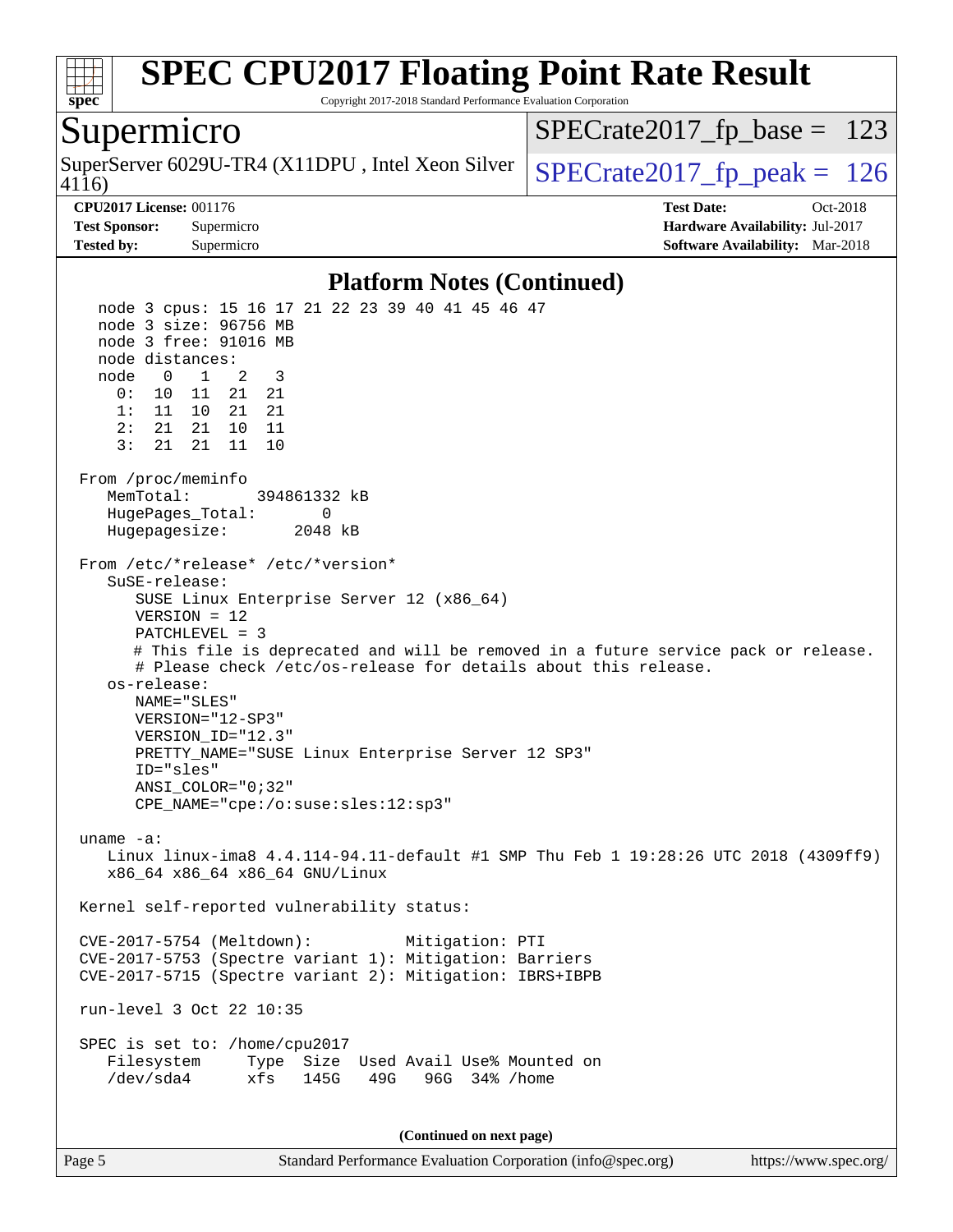

Copyright 2017-2018 Standard Performance Evaluation Corporation

### Supermicro

4116) SuperServer 6029U-TR4 (X11DPU, Intel Xeon Silver  $\big|$  [SPECrate2017\\_fp\\_peak =](http://www.spec.org/auto/cpu2017/Docs/result-fields.html#SPECrate2017fppeak) 126

 $SPECTate2017_fp\_base = 123$ 

**[CPU2017 License:](http://www.spec.org/auto/cpu2017/Docs/result-fields.html#CPU2017License)** 001176 **[Test Date:](http://www.spec.org/auto/cpu2017/Docs/result-fields.html#TestDate)** Oct-2018 **[Test Sponsor:](http://www.spec.org/auto/cpu2017/Docs/result-fields.html#TestSponsor)** Supermicro **[Hardware Availability:](http://www.spec.org/auto/cpu2017/Docs/result-fields.html#HardwareAvailability)** Jul-2017 **[Tested by:](http://www.spec.org/auto/cpu2017/Docs/result-fields.html#Testedby)** Supermicro **[Software Availability:](http://www.spec.org/auto/cpu2017/Docs/result-fields.html#SoftwareAvailability)** Mar-2018

#### **[Platform Notes \(Continued\)](http://www.spec.org/auto/cpu2017/Docs/result-fields.html#PlatformNotes)**

 node 3 cpus: 15 16 17 21 22 23 39 40 41 45 46 47 node 3 size: 96756 MB node 3 free: 91016 MB node distances: node 0 1 2 3 0: 10 11 21 21 1: 11 10 21 21 2: 21 21 10 11 3: 21 21 11 10 From /proc/meminfo MemTotal: 394861332 kB HugePages\_Total: 0 Hugepagesize: 2048 kB From /etc/\*release\* /etc/\*version\* SuSE-release: SUSE Linux Enterprise Server 12 (x86\_64) VERSION = 12 PATCHLEVEL = 3 # This file is deprecated and will be removed in a future service pack or release. # Please check /etc/os-release for details about this release. os-release: NAME="SLES" VERSION="12-SP3" VERSION\_ID="12.3" PRETTY\_NAME="SUSE Linux Enterprise Server 12 SP3" ID="sles" ANSI\_COLOR="0;32" CPE\_NAME="cpe:/o:suse:sles:12:sp3" uname -a: Linux linux-ima8 4.4.114-94.11-default #1 SMP Thu Feb 1 19:28:26 UTC 2018 (4309ff9) x86\_64 x86\_64 x86\_64 GNU/Linux Kernel self-reported vulnerability status: CVE-2017-5754 (Meltdown): Mitigation: PTI CVE-2017-5753 (Spectre variant 1): Mitigation: Barriers CVE-2017-5715 (Spectre variant 2): Mitigation: IBRS+IBPB run-level 3 Oct 22 10:35 SPEC is set to: /home/cpu2017 Filesystem Type Size Used Avail Use% Mounted on /dev/sda4 xfs 145G 49G 96G 34% /home **(Continued on next page)**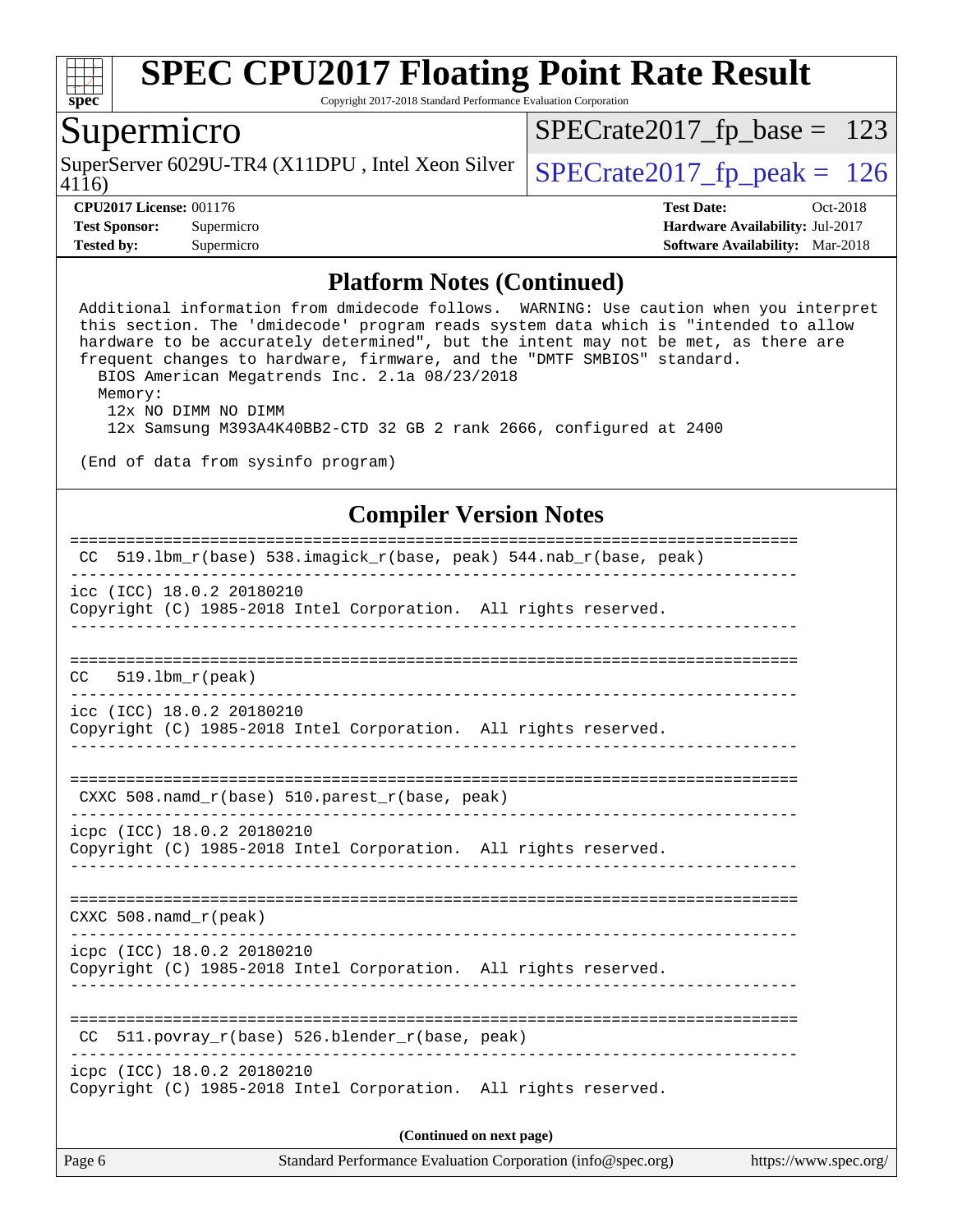

Copyright 2017-2018 Standard Performance Evaluation Corporation

## Supermicro

4116) SuperServer 6029U-TR4 (X11DPU, Intel Xeon Silver  $\big|$  [SPECrate2017\\_fp\\_peak =](http://www.spec.org/auto/cpu2017/Docs/result-fields.html#SPECrate2017fppeak) 126

[SPECrate2017\\_fp\\_base =](http://www.spec.org/auto/cpu2017/Docs/result-fields.html#SPECrate2017fpbase) 123

**[CPU2017 License:](http://www.spec.org/auto/cpu2017/Docs/result-fields.html#CPU2017License)** 001176 **[Test Date:](http://www.spec.org/auto/cpu2017/Docs/result-fields.html#TestDate)** Oct-2018 **[Test Sponsor:](http://www.spec.org/auto/cpu2017/Docs/result-fields.html#TestSponsor)** Supermicro **[Hardware Availability:](http://www.spec.org/auto/cpu2017/Docs/result-fields.html#HardwareAvailability)** Jul-2017 **[Tested by:](http://www.spec.org/auto/cpu2017/Docs/result-fields.html#Testedby)** Supermicro **[Software Availability:](http://www.spec.org/auto/cpu2017/Docs/result-fields.html#SoftwareAvailability)** Mar-2018

#### **[Platform Notes \(Continued\)](http://www.spec.org/auto/cpu2017/Docs/result-fields.html#PlatformNotes)**

 Additional information from dmidecode follows. WARNING: Use caution when you interpret this section. The 'dmidecode' program reads system data which is "intended to allow hardware to be accurately determined", but the intent may not be met, as there are frequent changes to hardware, firmware, and the "DMTF SMBIOS" standard. BIOS American Megatrends Inc. 2.1a 08/23/2018 Memory: 12x NO DIMM NO DIMM 12x Samsung M393A4K40BB2-CTD 32 GB 2 rank 2666, configured at 2400 (End of data from sysinfo program) **[Compiler Version Notes](http://www.spec.org/auto/cpu2017/Docs/result-fields.html#CompilerVersionNotes)** ============================================================================== CC 519.lbm\_r(base) 538.imagick\_r(base, peak) 544.nab\_r(base, peak) ----------------------------------------------------------------------------- icc (ICC) 18.0.2 20180210 Copyright (C) 1985-2018 Intel Corporation. All rights reserved. ------------------------------------------------------------------------------ ==============================================================================  $CC = 519.1$ bm  $r(peak)$ ----------------------------------------------------------------------------- icc (ICC) 18.0.2 20180210 Copyright (C) 1985-2018 Intel Corporation. All rights reserved. ------------------------------------------------------------------------------ ============================================================================== CXXC 508.namd\_r(base) 510.parest\_r(base, peak) ----------------------------------------------------------------------------- icpc (ICC) 18.0.2 20180210 Copyright (C) 1985-2018 Intel Corporation. All rights reserved. ------------------------------------------------------------------------------ ============================================================================== CXXC 508.namd\_r(peak) ----------------------------------------------------------------------------- icpc (ICC) 18.0.2 20180210 Copyright (C) 1985-2018 Intel Corporation. All rights reserved. ------------------------------------------------------------------------------ ============================================================================== CC 511.povray\_r(base) 526.blender\_r(base, peak) ----------------------------------------------------------------------------- icpc (ICC) 18.0.2 20180210 Copyright (C) 1985-2018 Intel Corporation. All rights reserved. **(Continued on next page)**

Page 6 Standard Performance Evaluation Corporation [\(info@spec.org\)](mailto:info@spec.org) <https://www.spec.org/>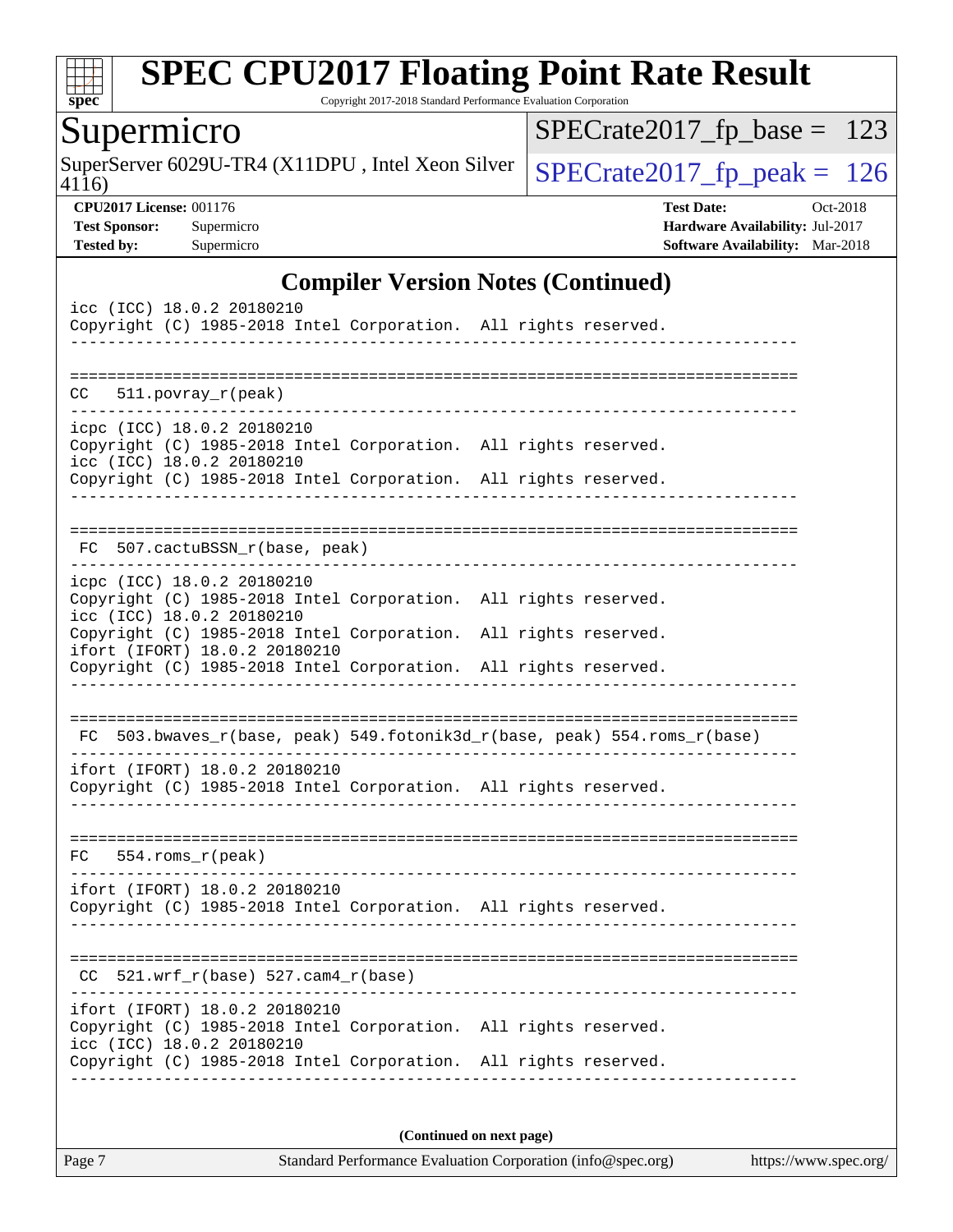

Copyright 2017-2018 Standard Performance Evaluation Corporation

## Supermicro

4116) SuperServer 6029U-TR4 (X11DPU, Intel Xeon Silver  $SPECrate2017_fp\_peak = 126$ 

[SPECrate2017\\_fp\\_base =](http://www.spec.org/auto/cpu2017/Docs/result-fields.html#SPECrate2017fpbase) 123

**[CPU2017 License:](http://www.spec.org/auto/cpu2017/Docs/result-fields.html#CPU2017License)** 001176 **[Test Date:](http://www.spec.org/auto/cpu2017/Docs/result-fields.html#TestDate)** Oct-2018 **[Test Sponsor:](http://www.spec.org/auto/cpu2017/Docs/result-fields.html#TestSponsor)** Supermicro **[Hardware Availability:](http://www.spec.org/auto/cpu2017/Docs/result-fields.html#HardwareAvailability)** Jul-2017 **[Tested by:](http://www.spec.org/auto/cpu2017/Docs/result-fields.html#Testedby)** Supermicro **[Software Availability:](http://www.spec.org/auto/cpu2017/Docs/result-fields.html#SoftwareAvailability)** Mar-2018

### **[Compiler Version Notes \(Continued\)](http://www.spec.org/auto/cpu2017/Docs/result-fields.html#CompilerVersionNotes)**

| icc (ICC) 18.0.2 20180210<br>Copyright (C) 1985-2018 Intel Corporation. All rights reserved.     |                            |                                                                                                               |
|--------------------------------------------------------------------------------------------------|----------------------------|---------------------------------------------------------------------------------------------------------------|
|                                                                                                  | __________________________ |                                                                                                               |
| $CC = 511. povray_r (peak)$                                                                      |                            |                                                                                                               |
| icpc (ICC) 18.0.2 20180210<br>Copyright (C) 1985-2018 Intel Corporation. All rights reserved.    |                            |                                                                                                               |
| icc (ICC) 18.0.2 20180210<br>Copyright (C) 1985-2018 Intel Corporation. All rights reserved.     |                            |                                                                                                               |
|                                                                                                  |                            |                                                                                                               |
| 507.cactuBSSN_r(base, peak)<br>FC.                                                               |                            |                                                                                                               |
| icpc (ICC) 18.0.2 20180210<br>Copyright (C) 1985-2018 Intel Corporation. All rights reserved.    |                            |                                                                                                               |
| icc (ICC) 18.0.2 20180210<br>Copyright (C) 1985-2018 Intel Corporation. All rights reserved.     |                            |                                                                                                               |
| ifort (IFORT) 18.0.2 20180210<br>Copyright (C) 1985-2018 Intel Corporation. All rights reserved. |                            |                                                                                                               |
|                                                                                                  |                            |                                                                                                               |
|                                                                                                  |                            | FC 503.bwaves_r(base, peak) 549.fotonik3d_r(base, peak) 554.roms_r(base)<br>_________________________________ |
| ifort (IFORT) 18.0.2 20180210<br>Copyright (C) 1985-2018 Intel Corporation. All rights reserved. | _________________          |                                                                                                               |
| 554.roms_r(peak)<br>FC                                                                           |                            |                                                                                                               |
| ifort (IFORT) 18.0.2 20180210<br>Copyright (C) 1985-2018 Intel Corporation. All rights reserved. |                            |                                                                                                               |
|                                                                                                  |                            |                                                                                                               |
| CC.                                                                                              |                            |                                                                                                               |
| ifort (IFORT) 18.0.2 20180210<br>Copyright (C) 1985-2018 Intel Corporation. All rights reserved. |                            |                                                                                                               |
| icc (ICC) 18.0.2 20180210<br>Copyright (C) 1985-2018 Intel Corporation. All rights reserved.     |                            |                                                                                                               |
|                                                                                                  |                            |                                                                                                               |
|                                                                                                  |                            | (Continued on next page)                                                                                      |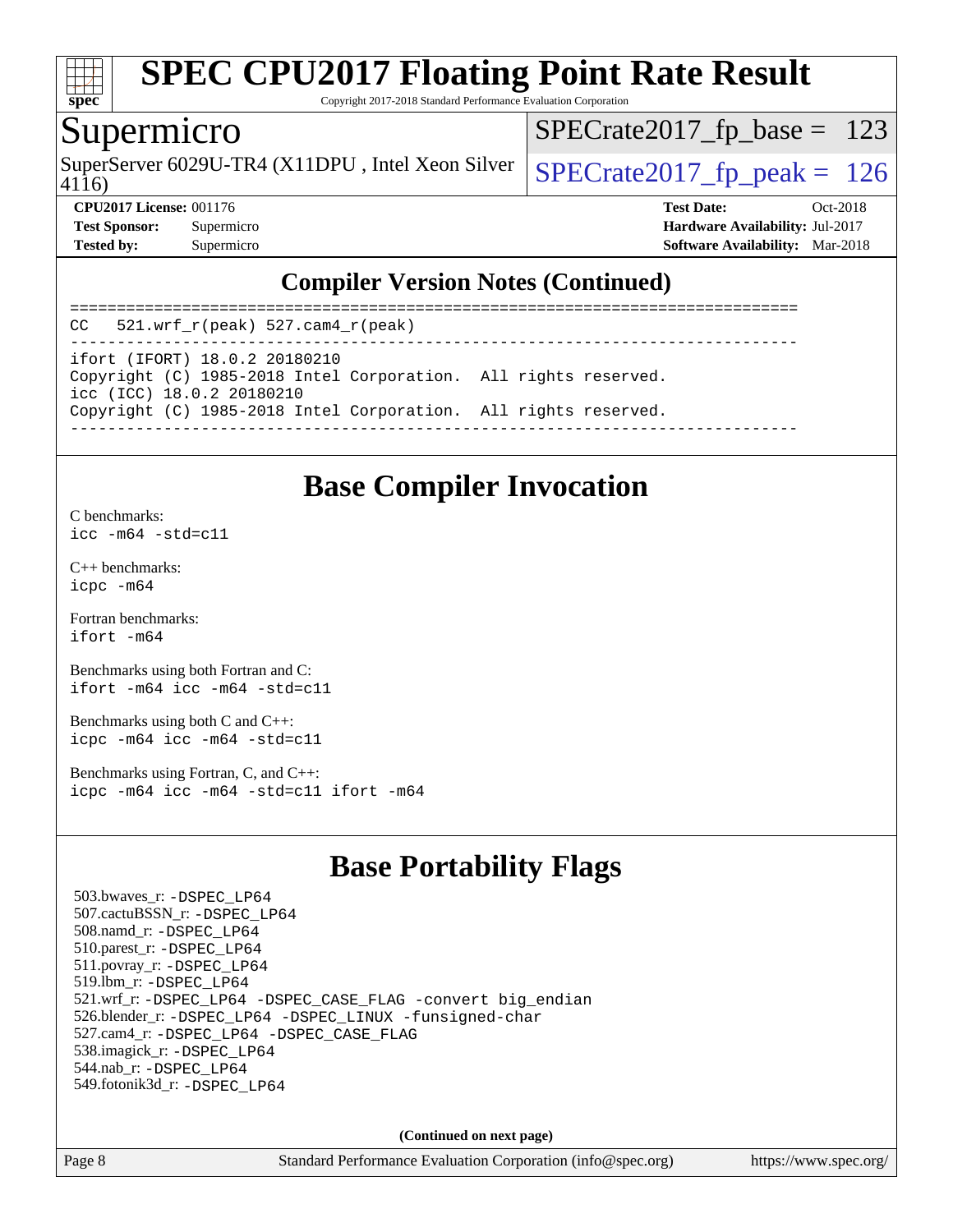

Copyright 2017-2018 Standard Performance Evaluation Corporation

### Supermicro

SuperServer 6029U-TR4 (X11DPU, Intel Xeon Silver  $\big|$  [SPECrate2017\\_fp\\_peak =](http://www.spec.org/auto/cpu2017/Docs/result-fields.html#SPECrate2017fppeak) 126

[SPECrate2017\\_fp\\_base =](http://www.spec.org/auto/cpu2017/Docs/result-fields.html#SPECrate2017fpbase) 123

4116)

**[CPU2017 License:](http://www.spec.org/auto/cpu2017/Docs/result-fields.html#CPU2017License)** 001176 **[Test Date:](http://www.spec.org/auto/cpu2017/Docs/result-fields.html#TestDate)** Oct-2018 **[Test Sponsor:](http://www.spec.org/auto/cpu2017/Docs/result-fields.html#TestSponsor)** Supermicro **[Hardware Availability:](http://www.spec.org/auto/cpu2017/Docs/result-fields.html#HardwareAvailability)** Jul-2017 **[Tested by:](http://www.spec.org/auto/cpu2017/Docs/result-fields.html#Testedby)** Supermicro **[Software Availability:](http://www.spec.org/auto/cpu2017/Docs/result-fields.html#SoftwareAvailability)** Mar-2018

### **[Compiler Version Notes \(Continued\)](http://www.spec.org/auto/cpu2017/Docs/result-fields.html#CompilerVersionNotes)**

============================================================================== CC 521.wrf\_r(peak) 527.cam4\_r(peak) ----------------------------------------------------------------------------- ifort (IFORT) 18.0.2 20180210 Copyright (C) 1985-2018 Intel Corporation. All rights reserved. icc (ICC) 18.0.2 20180210 Copyright (C) 1985-2018 Intel Corporation. All rights reserved. ------------------------------------------------------------------------------

### **[Base Compiler Invocation](http://www.spec.org/auto/cpu2017/Docs/result-fields.html#BaseCompilerInvocation)**

[C benchmarks](http://www.spec.org/auto/cpu2017/Docs/result-fields.html#Cbenchmarks): [icc -m64 -std=c11](http://www.spec.org/cpu2017/results/res2018q4/cpu2017-20181029-09410.flags.html#user_CCbase_intel_icc_64bit_c11_33ee0cdaae7deeeab2a9725423ba97205ce30f63b9926c2519791662299b76a0318f32ddfffdc46587804de3178b4f9328c46fa7c2b0cd779d7a61945c91cd35)

[C++ benchmarks:](http://www.spec.org/auto/cpu2017/Docs/result-fields.html#CXXbenchmarks) [icpc -m64](http://www.spec.org/cpu2017/results/res2018q4/cpu2017-20181029-09410.flags.html#user_CXXbase_intel_icpc_64bit_4ecb2543ae3f1412ef961e0650ca070fec7b7afdcd6ed48761b84423119d1bf6bdf5cad15b44d48e7256388bc77273b966e5eb805aefd121eb22e9299b2ec9d9)

[Fortran benchmarks](http://www.spec.org/auto/cpu2017/Docs/result-fields.html#Fortranbenchmarks): [ifort -m64](http://www.spec.org/cpu2017/results/res2018q4/cpu2017-20181029-09410.flags.html#user_FCbase_intel_ifort_64bit_24f2bb282fbaeffd6157abe4f878425411749daecae9a33200eee2bee2fe76f3b89351d69a8130dd5949958ce389cf37ff59a95e7a40d588e8d3a57e0c3fd751)

[Benchmarks using both Fortran and C](http://www.spec.org/auto/cpu2017/Docs/result-fields.html#BenchmarksusingbothFortranandC): [ifort -m64](http://www.spec.org/cpu2017/results/res2018q4/cpu2017-20181029-09410.flags.html#user_CC_FCbase_intel_ifort_64bit_24f2bb282fbaeffd6157abe4f878425411749daecae9a33200eee2bee2fe76f3b89351d69a8130dd5949958ce389cf37ff59a95e7a40d588e8d3a57e0c3fd751) [icc -m64 -std=c11](http://www.spec.org/cpu2017/results/res2018q4/cpu2017-20181029-09410.flags.html#user_CC_FCbase_intel_icc_64bit_c11_33ee0cdaae7deeeab2a9725423ba97205ce30f63b9926c2519791662299b76a0318f32ddfffdc46587804de3178b4f9328c46fa7c2b0cd779d7a61945c91cd35)

[Benchmarks using both C and C++](http://www.spec.org/auto/cpu2017/Docs/result-fields.html#BenchmarksusingbothCandCXX): [icpc -m64](http://www.spec.org/cpu2017/results/res2018q4/cpu2017-20181029-09410.flags.html#user_CC_CXXbase_intel_icpc_64bit_4ecb2543ae3f1412ef961e0650ca070fec7b7afdcd6ed48761b84423119d1bf6bdf5cad15b44d48e7256388bc77273b966e5eb805aefd121eb22e9299b2ec9d9) [icc -m64 -std=c11](http://www.spec.org/cpu2017/results/res2018q4/cpu2017-20181029-09410.flags.html#user_CC_CXXbase_intel_icc_64bit_c11_33ee0cdaae7deeeab2a9725423ba97205ce30f63b9926c2519791662299b76a0318f32ddfffdc46587804de3178b4f9328c46fa7c2b0cd779d7a61945c91cd35)

[Benchmarks using Fortran, C, and C++:](http://www.spec.org/auto/cpu2017/Docs/result-fields.html#BenchmarksusingFortranCandCXX) [icpc -m64](http://www.spec.org/cpu2017/results/res2018q4/cpu2017-20181029-09410.flags.html#user_CC_CXX_FCbase_intel_icpc_64bit_4ecb2543ae3f1412ef961e0650ca070fec7b7afdcd6ed48761b84423119d1bf6bdf5cad15b44d48e7256388bc77273b966e5eb805aefd121eb22e9299b2ec9d9) [icc -m64 -std=c11](http://www.spec.org/cpu2017/results/res2018q4/cpu2017-20181029-09410.flags.html#user_CC_CXX_FCbase_intel_icc_64bit_c11_33ee0cdaae7deeeab2a9725423ba97205ce30f63b9926c2519791662299b76a0318f32ddfffdc46587804de3178b4f9328c46fa7c2b0cd779d7a61945c91cd35) [ifort -m64](http://www.spec.org/cpu2017/results/res2018q4/cpu2017-20181029-09410.flags.html#user_CC_CXX_FCbase_intel_ifort_64bit_24f2bb282fbaeffd6157abe4f878425411749daecae9a33200eee2bee2fe76f3b89351d69a8130dd5949958ce389cf37ff59a95e7a40d588e8d3a57e0c3fd751)

## **[Base Portability Flags](http://www.spec.org/auto/cpu2017/Docs/result-fields.html#BasePortabilityFlags)**

 503.bwaves\_r: [-DSPEC\\_LP64](http://www.spec.org/cpu2017/results/res2018q4/cpu2017-20181029-09410.flags.html#suite_basePORTABILITY503_bwaves_r_DSPEC_LP64) 507.cactuBSSN\_r: [-DSPEC\\_LP64](http://www.spec.org/cpu2017/results/res2018q4/cpu2017-20181029-09410.flags.html#suite_basePORTABILITY507_cactuBSSN_r_DSPEC_LP64) 508.namd\_r: [-DSPEC\\_LP64](http://www.spec.org/cpu2017/results/res2018q4/cpu2017-20181029-09410.flags.html#suite_basePORTABILITY508_namd_r_DSPEC_LP64) 510.parest\_r: [-DSPEC\\_LP64](http://www.spec.org/cpu2017/results/res2018q4/cpu2017-20181029-09410.flags.html#suite_basePORTABILITY510_parest_r_DSPEC_LP64) 511.povray\_r: [-DSPEC\\_LP64](http://www.spec.org/cpu2017/results/res2018q4/cpu2017-20181029-09410.flags.html#suite_basePORTABILITY511_povray_r_DSPEC_LP64) 519.lbm\_r: [-DSPEC\\_LP64](http://www.spec.org/cpu2017/results/res2018q4/cpu2017-20181029-09410.flags.html#suite_basePORTABILITY519_lbm_r_DSPEC_LP64) 521.wrf\_r: [-DSPEC\\_LP64](http://www.spec.org/cpu2017/results/res2018q4/cpu2017-20181029-09410.flags.html#suite_basePORTABILITY521_wrf_r_DSPEC_LP64) [-DSPEC\\_CASE\\_FLAG](http://www.spec.org/cpu2017/results/res2018q4/cpu2017-20181029-09410.flags.html#b521.wrf_r_baseCPORTABILITY_DSPEC_CASE_FLAG) [-convert big\\_endian](http://www.spec.org/cpu2017/results/res2018q4/cpu2017-20181029-09410.flags.html#user_baseFPORTABILITY521_wrf_r_convert_big_endian_c3194028bc08c63ac5d04de18c48ce6d347e4e562e8892b8bdbdc0214820426deb8554edfa529a3fb25a586e65a3d812c835984020483e7e73212c4d31a38223) 526.blender\_r: [-DSPEC\\_LP64](http://www.spec.org/cpu2017/results/res2018q4/cpu2017-20181029-09410.flags.html#suite_basePORTABILITY526_blender_r_DSPEC_LP64) [-DSPEC\\_LINUX](http://www.spec.org/cpu2017/results/res2018q4/cpu2017-20181029-09410.flags.html#b526.blender_r_baseCPORTABILITY_DSPEC_LINUX) [-funsigned-char](http://www.spec.org/cpu2017/results/res2018q4/cpu2017-20181029-09410.flags.html#user_baseCPORTABILITY526_blender_r_force_uchar_40c60f00ab013830e2dd6774aeded3ff59883ba5a1fc5fc14077f794d777847726e2a5858cbc7672e36e1b067e7e5c1d9a74f7176df07886a243d7cc18edfe67) 527.cam4\_r: [-DSPEC\\_LP64](http://www.spec.org/cpu2017/results/res2018q4/cpu2017-20181029-09410.flags.html#suite_basePORTABILITY527_cam4_r_DSPEC_LP64) [-DSPEC\\_CASE\\_FLAG](http://www.spec.org/cpu2017/results/res2018q4/cpu2017-20181029-09410.flags.html#b527.cam4_r_baseCPORTABILITY_DSPEC_CASE_FLAG) 538.imagick\_r: [-DSPEC\\_LP64](http://www.spec.org/cpu2017/results/res2018q4/cpu2017-20181029-09410.flags.html#suite_basePORTABILITY538_imagick_r_DSPEC_LP64) 544.nab\_r: [-DSPEC\\_LP64](http://www.spec.org/cpu2017/results/res2018q4/cpu2017-20181029-09410.flags.html#suite_basePORTABILITY544_nab_r_DSPEC_LP64) 549.fotonik3d\_r: [-DSPEC\\_LP64](http://www.spec.org/cpu2017/results/res2018q4/cpu2017-20181029-09410.flags.html#suite_basePORTABILITY549_fotonik3d_r_DSPEC_LP64)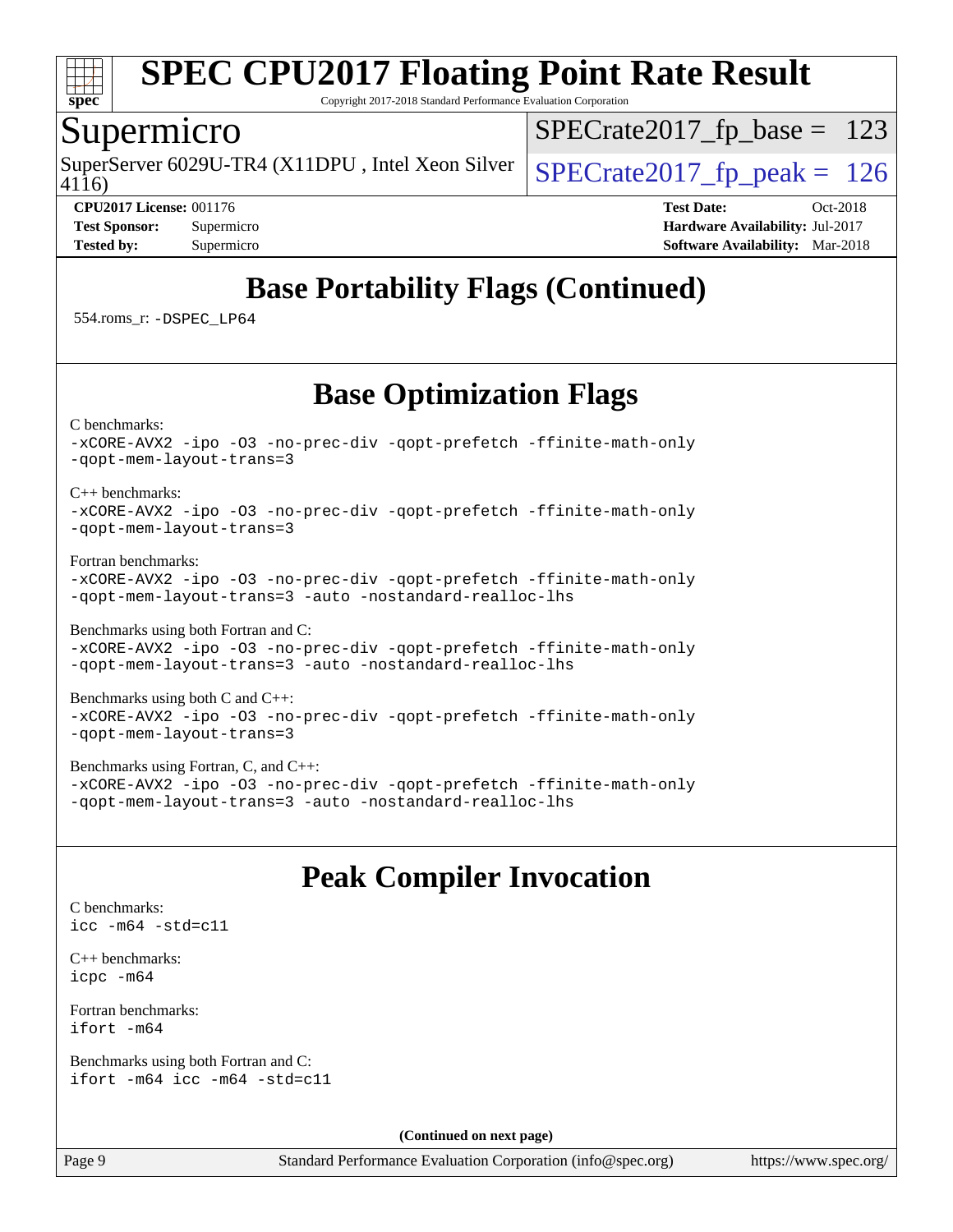

Copyright 2017-2018 Standard Performance Evaluation Corporation

### Supermicro

4116) SuperServer 6029U-TR4 (X11DPU, Intel Xeon Silver  $\big|$  [SPECrate2017\\_fp\\_peak =](http://www.spec.org/auto/cpu2017/Docs/result-fields.html#SPECrate2017fppeak) 126

[SPECrate2017\\_fp\\_base =](http://www.spec.org/auto/cpu2017/Docs/result-fields.html#SPECrate2017fpbase) 123

**[CPU2017 License:](http://www.spec.org/auto/cpu2017/Docs/result-fields.html#CPU2017License)** 001176 **[Test Date:](http://www.spec.org/auto/cpu2017/Docs/result-fields.html#TestDate)** Oct-2018 **[Test Sponsor:](http://www.spec.org/auto/cpu2017/Docs/result-fields.html#TestSponsor)** Supermicro **[Hardware Availability:](http://www.spec.org/auto/cpu2017/Docs/result-fields.html#HardwareAvailability)** Jul-2017 **[Tested by:](http://www.spec.org/auto/cpu2017/Docs/result-fields.html#Testedby)** Supermicro **[Software Availability:](http://www.spec.org/auto/cpu2017/Docs/result-fields.html#SoftwareAvailability)** Mar-2018

## **[Base Portability Flags \(Continued\)](http://www.spec.org/auto/cpu2017/Docs/result-fields.html#BasePortabilityFlags)**

554.roms\_r: [-DSPEC\\_LP64](http://www.spec.org/cpu2017/results/res2018q4/cpu2017-20181029-09410.flags.html#suite_basePORTABILITY554_roms_r_DSPEC_LP64)

## **[Base Optimization Flags](http://www.spec.org/auto/cpu2017/Docs/result-fields.html#BaseOptimizationFlags)**

[C benchmarks](http://www.spec.org/auto/cpu2017/Docs/result-fields.html#Cbenchmarks):

[-xCORE-AVX2](http://www.spec.org/cpu2017/results/res2018q4/cpu2017-20181029-09410.flags.html#user_CCbase_f-xCORE-AVX2) [-ipo](http://www.spec.org/cpu2017/results/res2018q4/cpu2017-20181029-09410.flags.html#user_CCbase_f-ipo) [-O3](http://www.spec.org/cpu2017/results/res2018q4/cpu2017-20181029-09410.flags.html#user_CCbase_f-O3) [-no-prec-div](http://www.spec.org/cpu2017/results/res2018q4/cpu2017-20181029-09410.flags.html#user_CCbase_f-no-prec-div) [-qopt-prefetch](http://www.spec.org/cpu2017/results/res2018q4/cpu2017-20181029-09410.flags.html#user_CCbase_f-qopt-prefetch) [-ffinite-math-only](http://www.spec.org/cpu2017/results/res2018q4/cpu2017-20181029-09410.flags.html#user_CCbase_f_finite_math_only_cb91587bd2077682c4b38af759c288ed7c732db004271a9512da14a4f8007909a5f1427ecbf1a0fb78ff2a814402c6114ac565ca162485bbcae155b5e4258871) [-qopt-mem-layout-trans=3](http://www.spec.org/cpu2017/results/res2018q4/cpu2017-20181029-09410.flags.html#user_CCbase_f-qopt-mem-layout-trans_de80db37974c74b1f0e20d883f0b675c88c3b01e9d123adea9b28688d64333345fb62bc4a798493513fdb68f60282f9a726aa07f478b2f7113531aecce732043)

#### [C++ benchmarks:](http://www.spec.org/auto/cpu2017/Docs/result-fields.html#CXXbenchmarks)

#### [-xCORE-AVX2](http://www.spec.org/cpu2017/results/res2018q4/cpu2017-20181029-09410.flags.html#user_CXXbase_f-xCORE-AVX2) [-ipo](http://www.spec.org/cpu2017/results/res2018q4/cpu2017-20181029-09410.flags.html#user_CXXbase_f-ipo) [-O3](http://www.spec.org/cpu2017/results/res2018q4/cpu2017-20181029-09410.flags.html#user_CXXbase_f-O3) [-no-prec-div](http://www.spec.org/cpu2017/results/res2018q4/cpu2017-20181029-09410.flags.html#user_CXXbase_f-no-prec-div) [-qopt-prefetch](http://www.spec.org/cpu2017/results/res2018q4/cpu2017-20181029-09410.flags.html#user_CXXbase_f-qopt-prefetch) [-ffinite-math-only](http://www.spec.org/cpu2017/results/res2018q4/cpu2017-20181029-09410.flags.html#user_CXXbase_f_finite_math_only_cb91587bd2077682c4b38af759c288ed7c732db004271a9512da14a4f8007909a5f1427ecbf1a0fb78ff2a814402c6114ac565ca162485bbcae155b5e4258871) [-qopt-mem-layout-trans=3](http://www.spec.org/cpu2017/results/res2018q4/cpu2017-20181029-09410.flags.html#user_CXXbase_f-qopt-mem-layout-trans_de80db37974c74b1f0e20d883f0b675c88c3b01e9d123adea9b28688d64333345fb62bc4a798493513fdb68f60282f9a726aa07f478b2f7113531aecce732043)

[Fortran benchmarks](http://www.spec.org/auto/cpu2017/Docs/result-fields.html#Fortranbenchmarks):

[-xCORE-AVX2](http://www.spec.org/cpu2017/results/res2018q4/cpu2017-20181029-09410.flags.html#user_FCbase_f-xCORE-AVX2) [-ipo](http://www.spec.org/cpu2017/results/res2018q4/cpu2017-20181029-09410.flags.html#user_FCbase_f-ipo) [-O3](http://www.spec.org/cpu2017/results/res2018q4/cpu2017-20181029-09410.flags.html#user_FCbase_f-O3) [-no-prec-div](http://www.spec.org/cpu2017/results/res2018q4/cpu2017-20181029-09410.flags.html#user_FCbase_f-no-prec-div) [-qopt-prefetch](http://www.spec.org/cpu2017/results/res2018q4/cpu2017-20181029-09410.flags.html#user_FCbase_f-qopt-prefetch) [-ffinite-math-only](http://www.spec.org/cpu2017/results/res2018q4/cpu2017-20181029-09410.flags.html#user_FCbase_f_finite_math_only_cb91587bd2077682c4b38af759c288ed7c732db004271a9512da14a4f8007909a5f1427ecbf1a0fb78ff2a814402c6114ac565ca162485bbcae155b5e4258871) [-qopt-mem-layout-trans=3](http://www.spec.org/cpu2017/results/res2018q4/cpu2017-20181029-09410.flags.html#user_FCbase_f-qopt-mem-layout-trans_de80db37974c74b1f0e20d883f0b675c88c3b01e9d123adea9b28688d64333345fb62bc4a798493513fdb68f60282f9a726aa07f478b2f7113531aecce732043) [-auto](http://www.spec.org/cpu2017/results/res2018q4/cpu2017-20181029-09410.flags.html#user_FCbase_f-auto) [-nostandard-realloc-lhs](http://www.spec.org/cpu2017/results/res2018q4/cpu2017-20181029-09410.flags.html#user_FCbase_f_2003_std_realloc_82b4557e90729c0f113870c07e44d33d6f5a304b4f63d4c15d2d0f1fab99f5daaed73bdb9275d9ae411527f28b936061aa8b9c8f2d63842963b95c9dd6426b8a)

[Benchmarks using both Fortran and C](http://www.spec.org/auto/cpu2017/Docs/result-fields.html#BenchmarksusingbothFortranandC): [-xCORE-AVX2](http://www.spec.org/cpu2017/results/res2018q4/cpu2017-20181029-09410.flags.html#user_CC_FCbase_f-xCORE-AVX2) [-ipo](http://www.spec.org/cpu2017/results/res2018q4/cpu2017-20181029-09410.flags.html#user_CC_FCbase_f-ipo) [-O3](http://www.spec.org/cpu2017/results/res2018q4/cpu2017-20181029-09410.flags.html#user_CC_FCbase_f-O3) [-no-prec-div](http://www.spec.org/cpu2017/results/res2018q4/cpu2017-20181029-09410.flags.html#user_CC_FCbase_f-no-prec-div) [-qopt-prefetch](http://www.spec.org/cpu2017/results/res2018q4/cpu2017-20181029-09410.flags.html#user_CC_FCbase_f-qopt-prefetch) [-ffinite-math-only](http://www.spec.org/cpu2017/results/res2018q4/cpu2017-20181029-09410.flags.html#user_CC_FCbase_f_finite_math_only_cb91587bd2077682c4b38af759c288ed7c732db004271a9512da14a4f8007909a5f1427ecbf1a0fb78ff2a814402c6114ac565ca162485bbcae155b5e4258871) [-qopt-mem-layout-trans=3](http://www.spec.org/cpu2017/results/res2018q4/cpu2017-20181029-09410.flags.html#user_CC_FCbase_f-qopt-mem-layout-trans_de80db37974c74b1f0e20d883f0b675c88c3b01e9d123adea9b28688d64333345fb62bc4a798493513fdb68f60282f9a726aa07f478b2f7113531aecce732043) [-auto](http://www.spec.org/cpu2017/results/res2018q4/cpu2017-20181029-09410.flags.html#user_CC_FCbase_f-auto) [-nostandard-realloc-lhs](http://www.spec.org/cpu2017/results/res2018q4/cpu2017-20181029-09410.flags.html#user_CC_FCbase_f_2003_std_realloc_82b4557e90729c0f113870c07e44d33d6f5a304b4f63d4c15d2d0f1fab99f5daaed73bdb9275d9ae411527f28b936061aa8b9c8f2d63842963b95c9dd6426b8a)

[Benchmarks using both C and C++](http://www.spec.org/auto/cpu2017/Docs/result-fields.html#BenchmarksusingbothCandCXX): [-xCORE-AVX2](http://www.spec.org/cpu2017/results/res2018q4/cpu2017-20181029-09410.flags.html#user_CC_CXXbase_f-xCORE-AVX2) [-ipo](http://www.spec.org/cpu2017/results/res2018q4/cpu2017-20181029-09410.flags.html#user_CC_CXXbase_f-ipo) [-O3](http://www.spec.org/cpu2017/results/res2018q4/cpu2017-20181029-09410.flags.html#user_CC_CXXbase_f-O3) [-no-prec-div](http://www.spec.org/cpu2017/results/res2018q4/cpu2017-20181029-09410.flags.html#user_CC_CXXbase_f-no-prec-div) [-qopt-prefetch](http://www.spec.org/cpu2017/results/res2018q4/cpu2017-20181029-09410.flags.html#user_CC_CXXbase_f-qopt-prefetch) [-ffinite-math-only](http://www.spec.org/cpu2017/results/res2018q4/cpu2017-20181029-09410.flags.html#user_CC_CXXbase_f_finite_math_only_cb91587bd2077682c4b38af759c288ed7c732db004271a9512da14a4f8007909a5f1427ecbf1a0fb78ff2a814402c6114ac565ca162485bbcae155b5e4258871) [-qopt-mem-layout-trans=3](http://www.spec.org/cpu2017/results/res2018q4/cpu2017-20181029-09410.flags.html#user_CC_CXXbase_f-qopt-mem-layout-trans_de80db37974c74b1f0e20d883f0b675c88c3b01e9d123adea9b28688d64333345fb62bc4a798493513fdb68f60282f9a726aa07f478b2f7113531aecce732043)

[Benchmarks using Fortran, C, and C++:](http://www.spec.org/auto/cpu2017/Docs/result-fields.html#BenchmarksusingFortranCandCXX)

[-xCORE-AVX2](http://www.spec.org/cpu2017/results/res2018q4/cpu2017-20181029-09410.flags.html#user_CC_CXX_FCbase_f-xCORE-AVX2) [-ipo](http://www.spec.org/cpu2017/results/res2018q4/cpu2017-20181029-09410.flags.html#user_CC_CXX_FCbase_f-ipo) [-O3](http://www.spec.org/cpu2017/results/res2018q4/cpu2017-20181029-09410.flags.html#user_CC_CXX_FCbase_f-O3) [-no-prec-div](http://www.spec.org/cpu2017/results/res2018q4/cpu2017-20181029-09410.flags.html#user_CC_CXX_FCbase_f-no-prec-div) [-qopt-prefetch](http://www.spec.org/cpu2017/results/res2018q4/cpu2017-20181029-09410.flags.html#user_CC_CXX_FCbase_f-qopt-prefetch) [-ffinite-math-only](http://www.spec.org/cpu2017/results/res2018q4/cpu2017-20181029-09410.flags.html#user_CC_CXX_FCbase_f_finite_math_only_cb91587bd2077682c4b38af759c288ed7c732db004271a9512da14a4f8007909a5f1427ecbf1a0fb78ff2a814402c6114ac565ca162485bbcae155b5e4258871) [-qopt-mem-layout-trans=3](http://www.spec.org/cpu2017/results/res2018q4/cpu2017-20181029-09410.flags.html#user_CC_CXX_FCbase_f-qopt-mem-layout-trans_de80db37974c74b1f0e20d883f0b675c88c3b01e9d123adea9b28688d64333345fb62bc4a798493513fdb68f60282f9a726aa07f478b2f7113531aecce732043) [-auto](http://www.spec.org/cpu2017/results/res2018q4/cpu2017-20181029-09410.flags.html#user_CC_CXX_FCbase_f-auto) [-nostandard-realloc-lhs](http://www.spec.org/cpu2017/results/res2018q4/cpu2017-20181029-09410.flags.html#user_CC_CXX_FCbase_f_2003_std_realloc_82b4557e90729c0f113870c07e44d33d6f5a304b4f63d4c15d2d0f1fab99f5daaed73bdb9275d9ae411527f28b936061aa8b9c8f2d63842963b95c9dd6426b8a)

## **[Peak Compiler Invocation](http://www.spec.org/auto/cpu2017/Docs/result-fields.html#PeakCompilerInvocation)**

```
C benchmarks: 
icc -m64 -std=c11
```
[C++ benchmarks:](http://www.spec.org/auto/cpu2017/Docs/result-fields.html#CXXbenchmarks) [icpc -m64](http://www.spec.org/cpu2017/results/res2018q4/cpu2017-20181029-09410.flags.html#user_CXXpeak_intel_icpc_64bit_4ecb2543ae3f1412ef961e0650ca070fec7b7afdcd6ed48761b84423119d1bf6bdf5cad15b44d48e7256388bc77273b966e5eb805aefd121eb22e9299b2ec9d9)

[Fortran benchmarks](http://www.spec.org/auto/cpu2017/Docs/result-fields.html#Fortranbenchmarks): [ifort -m64](http://www.spec.org/cpu2017/results/res2018q4/cpu2017-20181029-09410.flags.html#user_FCpeak_intel_ifort_64bit_24f2bb282fbaeffd6157abe4f878425411749daecae9a33200eee2bee2fe76f3b89351d69a8130dd5949958ce389cf37ff59a95e7a40d588e8d3a57e0c3fd751)

[Benchmarks using both Fortran and C](http://www.spec.org/auto/cpu2017/Docs/result-fields.html#BenchmarksusingbothFortranandC): [ifort -m64](http://www.spec.org/cpu2017/results/res2018q4/cpu2017-20181029-09410.flags.html#user_CC_FCpeak_intel_ifort_64bit_24f2bb282fbaeffd6157abe4f878425411749daecae9a33200eee2bee2fe76f3b89351d69a8130dd5949958ce389cf37ff59a95e7a40d588e8d3a57e0c3fd751) [icc -m64 -std=c11](http://www.spec.org/cpu2017/results/res2018q4/cpu2017-20181029-09410.flags.html#user_CC_FCpeak_intel_icc_64bit_c11_33ee0cdaae7deeeab2a9725423ba97205ce30f63b9926c2519791662299b76a0318f32ddfffdc46587804de3178b4f9328c46fa7c2b0cd779d7a61945c91cd35)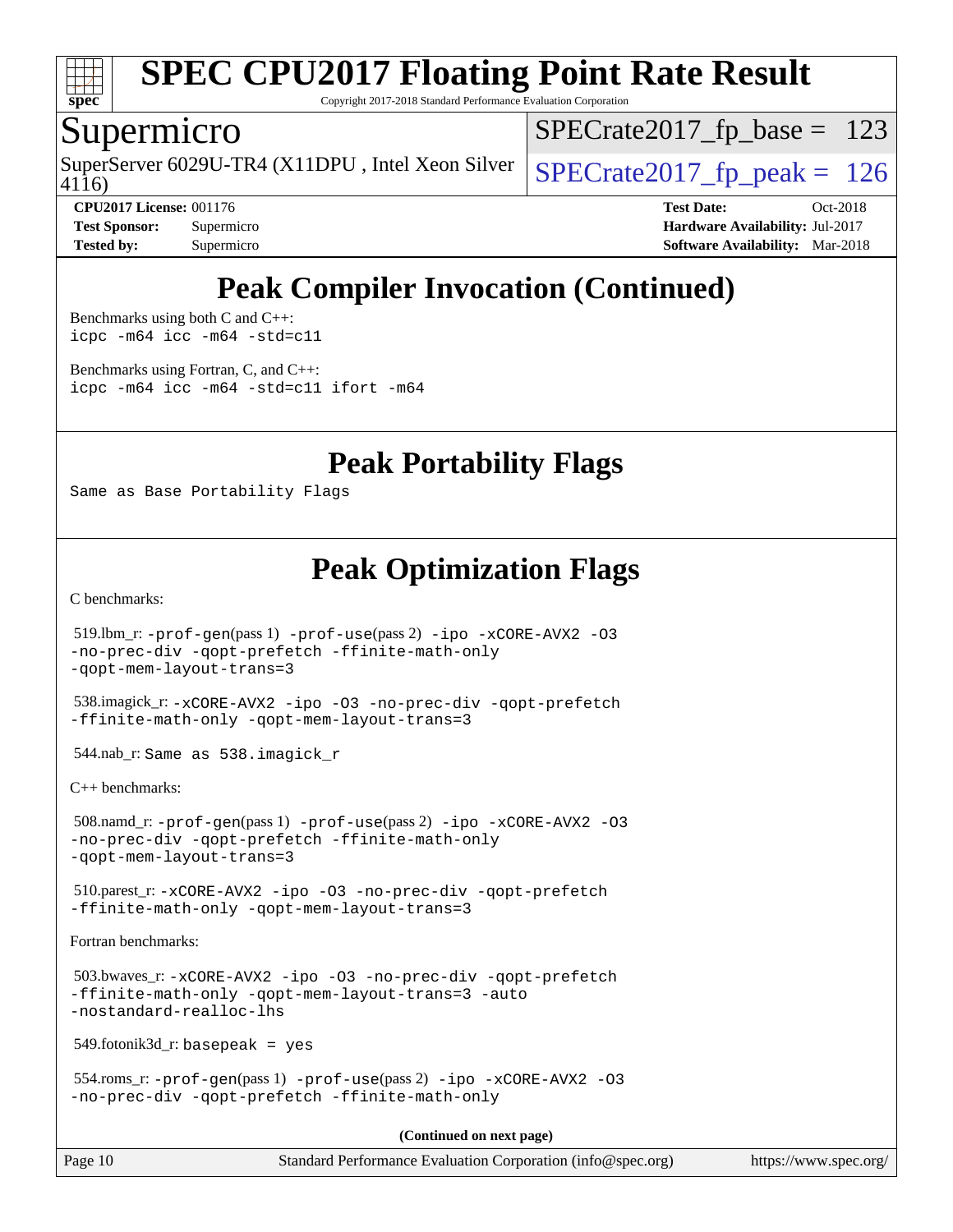

Copyright 2017-2018 Standard Performance Evaluation Corporation

### Supermicro

4116) SuperServer 6029U-TR4 (X11DPU, Intel Xeon Silver  $\vert$  [SPECrate2017\\_fp\\_peak =](http://www.spec.org/auto/cpu2017/Docs/result-fields.html#SPECrate2017fppeak) 126

 $SPECTate2017_fp\_base = 123$ 

**[CPU2017 License:](http://www.spec.org/auto/cpu2017/Docs/result-fields.html#CPU2017License)** 001176 **[Test Date:](http://www.spec.org/auto/cpu2017/Docs/result-fields.html#TestDate)** Oct-2018 **[Test Sponsor:](http://www.spec.org/auto/cpu2017/Docs/result-fields.html#TestSponsor)** Supermicro **[Hardware Availability:](http://www.spec.org/auto/cpu2017/Docs/result-fields.html#HardwareAvailability)** Jul-2017 **[Tested by:](http://www.spec.org/auto/cpu2017/Docs/result-fields.html#Testedby)** Supermicro **[Software Availability:](http://www.spec.org/auto/cpu2017/Docs/result-fields.html#SoftwareAvailability)** Mar-2018

## **[Peak Compiler Invocation \(Continued\)](http://www.spec.org/auto/cpu2017/Docs/result-fields.html#PeakCompilerInvocation)**

[Benchmarks using both C and C++](http://www.spec.org/auto/cpu2017/Docs/result-fields.html#BenchmarksusingbothCandCXX): [icpc -m64](http://www.spec.org/cpu2017/results/res2018q4/cpu2017-20181029-09410.flags.html#user_CC_CXXpeak_intel_icpc_64bit_4ecb2543ae3f1412ef961e0650ca070fec7b7afdcd6ed48761b84423119d1bf6bdf5cad15b44d48e7256388bc77273b966e5eb805aefd121eb22e9299b2ec9d9) [icc -m64 -std=c11](http://www.spec.org/cpu2017/results/res2018q4/cpu2017-20181029-09410.flags.html#user_CC_CXXpeak_intel_icc_64bit_c11_33ee0cdaae7deeeab2a9725423ba97205ce30f63b9926c2519791662299b76a0318f32ddfffdc46587804de3178b4f9328c46fa7c2b0cd779d7a61945c91cd35)

[Benchmarks using Fortran, C, and C++:](http://www.spec.org/auto/cpu2017/Docs/result-fields.html#BenchmarksusingFortranCandCXX) [icpc -m64](http://www.spec.org/cpu2017/results/res2018q4/cpu2017-20181029-09410.flags.html#user_CC_CXX_FCpeak_intel_icpc_64bit_4ecb2543ae3f1412ef961e0650ca070fec7b7afdcd6ed48761b84423119d1bf6bdf5cad15b44d48e7256388bc77273b966e5eb805aefd121eb22e9299b2ec9d9) [icc -m64 -std=c11](http://www.spec.org/cpu2017/results/res2018q4/cpu2017-20181029-09410.flags.html#user_CC_CXX_FCpeak_intel_icc_64bit_c11_33ee0cdaae7deeeab2a9725423ba97205ce30f63b9926c2519791662299b76a0318f32ddfffdc46587804de3178b4f9328c46fa7c2b0cd779d7a61945c91cd35) [ifort -m64](http://www.spec.org/cpu2017/results/res2018q4/cpu2017-20181029-09410.flags.html#user_CC_CXX_FCpeak_intel_ifort_64bit_24f2bb282fbaeffd6157abe4f878425411749daecae9a33200eee2bee2fe76f3b89351d69a8130dd5949958ce389cf37ff59a95e7a40d588e8d3a57e0c3fd751)

**[Peak Portability Flags](http://www.spec.org/auto/cpu2017/Docs/result-fields.html#PeakPortabilityFlags)**

Same as Base Portability Flags

### **[Peak Optimization Flags](http://www.spec.org/auto/cpu2017/Docs/result-fields.html#PeakOptimizationFlags)**

[C benchmarks](http://www.spec.org/auto/cpu2017/Docs/result-fields.html#Cbenchmarks):

```
Page 10 Standard Performance Evaluation Corporation (info@spec.org) https://www.spec.org/
  519.lbm_r: -prof-gen(pass 1) -prof-use(pass 2) -ipo -xCORE-AVX2 -O3
-no-prec-div -qopt-prefetch -ffinite-math-only
-qopt-mem-layout-trans=3
  538.imagick_r: -xCORE-AVX2 -ipo -O3 -no-prec-div -qopt-prefetch
-ffinite-math-only -qopt-mem-layout-trans=3
  544.nab_r: Same as 538.imagick_r
C++ benchmarks: 
  508.namd_r: -prof-gen(pass 1) -prof-use(pass 2) -ipo -xCORE-AVX2 -O3
-no-prec-div -qopt-prefetch -ffinite-math-only
-qopt-mem-layout-trans=3
  510.parest_r: -xCORE-AVX2 -ipo -O3 -no-prec-div -qopt-prefetch
-ffinite-math-only -qopt-mem-layout-trans=3
Fortran benchmarks: 
  503.bwaves_r: -xCORE-AVX2 -ipo -O3 -no-prec-div -qopt-prefetch
-ffinite-math-only -qopt-mem-layout-trans=3 -auto
-nostandard-realloc-lhs
  549.fotonik3d_r: basepeak = yes
  554.roms_r: -prof-gen(pass 1) -prof-use(pass 2) -ipo -xCORE-AVX2 -O3
-no-prec-div -qopt-prefetch -ffinite-math-only
                                       (Continued on next page)
```